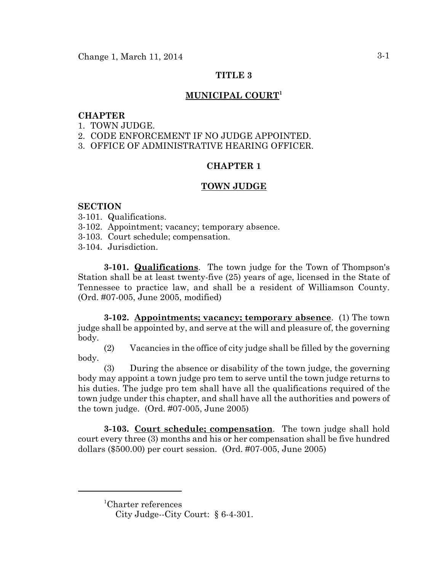## **TITLE 3**

# **MUNICIPAL COURT1**

# **CHAPTER**

- 1. TOWN JUDGE.
- 2. CODE ENFORCEMENT IF NO JUDGE APPOINTED.
- 3. OFFICE OF ADMINISTRATIVE HEARING OFFICER.

# **CHAPTER 1**

# **TOWN JUDGE**

## **SECTION**

- 3-101. Qualifications.
- 3-102. Appointment; vacancy; temporary absence.
- 3-103. Court schedule; compensation.
- 3-104. Jurisdiction.

**3-101. Qualifications**. The town judge for the Town of Thompson's Station shall be at least twenty-five (25) years of age, licensed in the State of Tennessee to practice law, and shall be a resident of Williamson County. (Ord. #07-005, June 2005, modified)

**3-102. Appointments; vacancy; temporary absence**. (1) The town judge shall be appointed by, and serve at the will and pleasure of, the governing body.

(2) Vacancies in the office of city judge shall be filled by the governing body.

(3) During the absence or disability of the town judge, the governing body may appoint a town judge pro tem to serve until the town judge returns to his duties. The judge pro tem shall have all the qualifications required of the town judge under this chapter, and shall have all the authorities and powers of the town judge. (Ord. #07-005, June 2005)

**3-103. Court schedule; compensation**. The town judge shall hold court every three (3) months and his or her compensation shall be five hundred dollars (\$500.00) per court session. (Ord. #07-005, June 2005)

<sup>1</sup> Charter references

City Judge--City Court: § 6-4-301.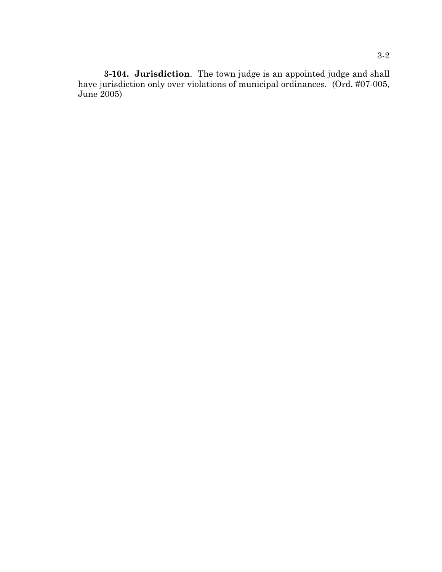**3-104. Jurisdiction**. The town judge is an appointed judge and shall have jurisdiction only over violations of municipal ordinances. (Ord. #07-005, June 2005)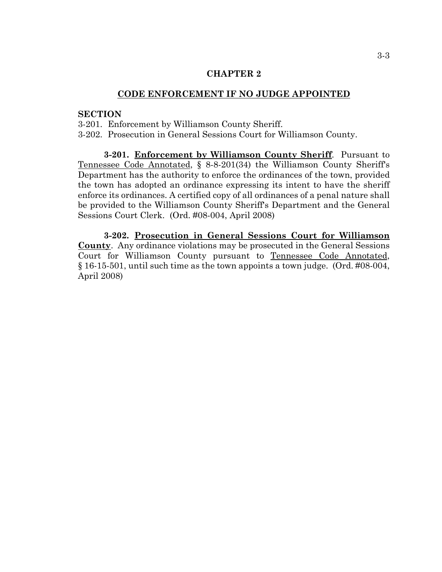### **CHAPTER 2**

### **CODE ENFORCEMENT IF NO JUDGE APPOINTED**

### **SECTION**

3-201. Enforcement by Williamson County Sheriff.

3-202. Prosecution in General Sessions Court for Williamson County.

**3-201. Enforcement by Williamson County Sheriff**. Pursuant to Tennessee Code Annotated, § 8-8-201(34) the Williamson County Sheriff's Department has the authority to enforce the ordinances of the town, provided the town has adopted an ordinance expressing its intent to have the sheriff enforce its ordinances. A certified copy of all ordinances of a penal nature shall be provided to the Williamson County Sheriff's Department and the General Sessions Court Clerk. (Ord. #08-004, April 2008)

**3-202. Prosecution in General Sessions Court for Williamson County**. Any ordinance violations may be prosecuted in the General Sessions Court for Williamson County pursuant to Tennessee Code Annotated, § 16-15-501, until such time as the town appoints a town judge. (Ord. #08-004, April 2008)